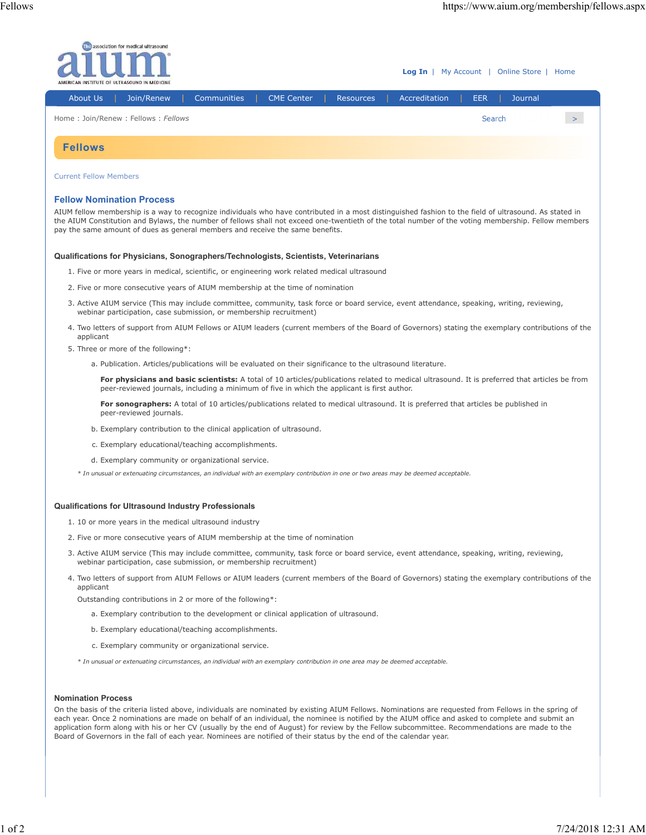

## **Fellow Nomination Process**

AIUM fellow membership is a way to recognize individuals who have contributed in a most distinguished fashion to the field of ultrasound. As stated in the AIUM Constitution and Bylaws, the number of fellows shall not exceed one-twentieth of the total number of the voting membership. Fellow members pay the same amount of dues as general members and receive the same benefits.

## **Qualifications for Physicians, Sonographers/Technologists, Scientists, Veterinarians**

- 1. Five or more years in medical, scientific, or engineering work related medical ultrasound
- 2. Five or more consecutive years of AIUM membership at the time of nomination
- 3. Active AIUM service (This may include committee, community, task force or board service, event attendance, speaking, writing, reviewing, webinar participation, case submission, or membership recruitment)
- 4. Two letters of support from AIUM Fellows or AIUM leaders (current members of the Board of Governors) stating the exemplary contributions of the applicant
- 5. Three or more of the following\*:
	- a. Publication. Articles/publications will be evaluated on their significance to the ultrasound literature.

**For physicians and basic scientists:** A total of 10 articles/publications related to medical ultrasound. It is preferred that articles be from peer-reviewed journals, including a minimum of five in which the applicant is first author.

**For sonographers:** A total of 10 articles/publications related to medical ultrasound. It is preferred that articles be published in peer-reviewed journals.

- b. Exemplary contribution to the clinical application of ultrasound.
- c. Exemplary educational/teaching accomplishments.
- d. Exemplary community or organizational service.

*\* In unusual or extenuating circumstances, an individual with an exemplary contribution in one or two areas may be deemed acceptable.*

## **Qualifications for Ultrasound Industry Professionals**

- 1. 10 or more years in the medical ultrasound industry
- 2. Five or more consecutive years of AIUM membership at the time of nomination
- 3. Active AIUM service (This may include committee, community, task force or board service, event attendance, speaking, writing, reviewing, webinar participation, case submission, or membership recruitment)
- Two letters of support from AIUM Fellows or AIUM leaders (current members of the Board of Governors) stating the exemplary contributions of the 4. applicant

Outstanding contributions in 2 or more of the following\*:

- a. Exemplary contribution to the development or clinical application of ultrasound.
- b. Exemplary educational/teaching accomplishments.
- c. Exemplary community or organizational service.
- *\* In unusual or extenuating circumstances, an individual with an exemplary contribution in one area may be deemed acceptable.*

## **Nomination Process**

On the basis of the criteria listed above, individuals are nominated by existing AIUM Fellows. Nominations are requested from Fellows in the spring of each year. Once 2 nominations are made on behalf of an individual, the nominee is notified by the AIUM office and asked to complete and submit an application form along with his or her CV (usually by the end of August) for review by the Fellow subcommittee. Recommendations are made to the Board of Governors in the fall of each year. Nominees are notified of their status by the end of the calendar year.